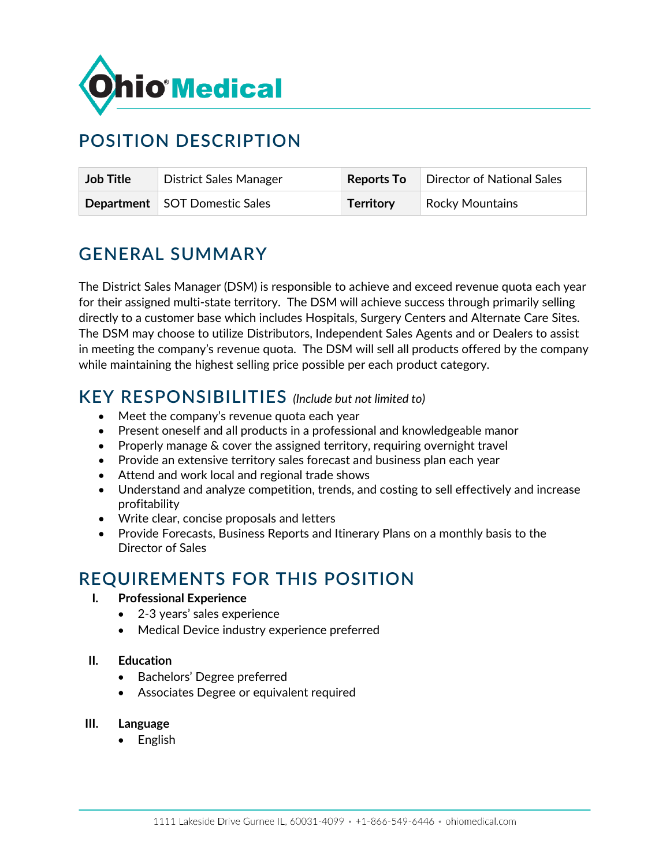

# **POSITION DESCRIPTION**

| <b>Job Title</b> | <b>District Sales Manager</b>        | <b>Reports To</b> | Director of National Sales |
|------------------|--------------------------------------|-------------------|----------------------------|
|                  | <b>Department</b> SOT Domestic Sales | <b>Territory</b>  | <b>Rocky Mountains</b>     |

### **GENERAL SUMMARY**

The District Sales Manager (DSM) is responsible to achieve and exceed revenue quota each year for their assigned multi-state territory. The DSM will achieve success through primarily selling directly to a customer base which includes Hospitals, Surgery Centers and Alternate Care Sites. The DSM may choose to utilize Distributors, Independent Sales Agents and or Dealers to assist in meeting the company's revenue quota. The DSM will sell all products offered by the company while maintaining the highest selling price possible per each product category.

#### **KEY RESPONSIBILITIES** *(Include but not limited to)*

- Meet the company's revenue quota each year
- Present oneself and all products in a professional and knowledgeable manor
- Properly manage & cover the assigned territory, requiring overnight travel
- Provide an extensive territory sales forecast and business plan each year
- Attend and work local and regional trade shows
- Understand and analyze competition, trends, and costing to sell effectively and increase profitability
- Write clear, concise proposals and letters
- Provide Forecasts, Business Reports and Itinerary Plans on a monthly basis to the Director of Sales

### **REQUIREMENTS FOR THIS POSITION**

- **I. Professional Experience**
	- 2-3 years' sales experience
	- Medical Device industry experience preferred
- **II. Education**
	- Bachelors' Degree preferred
	- Associates Degree or equivalent required
- **III. Language**
	- English